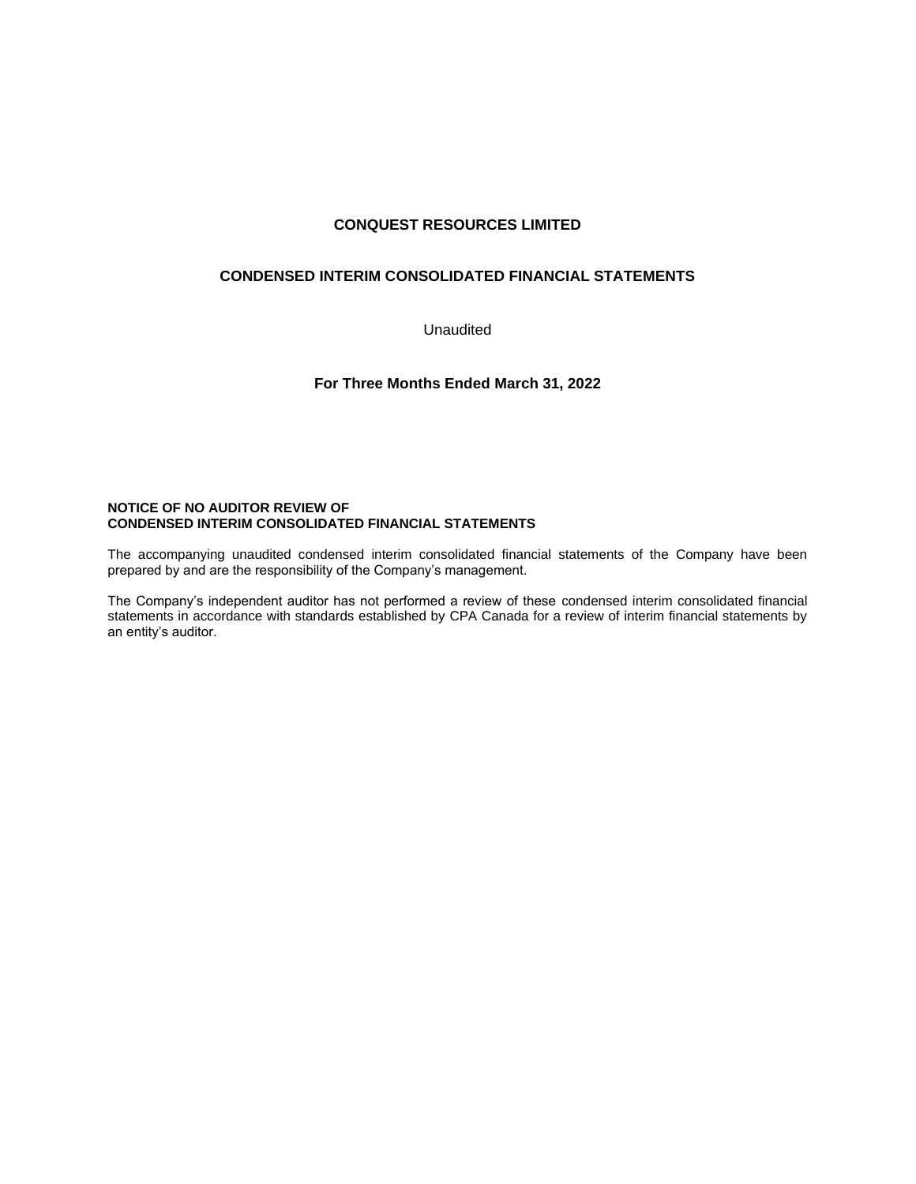# **CONQUEST RESOURCES LIMITED**

## **CONDENSED INTERIM CONSOLIDATED FINANCIAL STATEMENTS**

Unaudited

**For Three Months Ended March 31, 2022**

## **NOTICE OF NO AUDITOR REVIEW OF CONDENSED INTERIM CONSOLIDATED FINANCIAL STATEMENTS**

The accompanying unaudited condensed interim consolidated financial statements of the Company have been prepared by and are the responsibility of the Company's management.

The Company's independent auditor has not performed a review of these condensed interim consolidated financial statements in accordance with standards established by CPA Canada for a review of interim financial statements by an entity's auditor.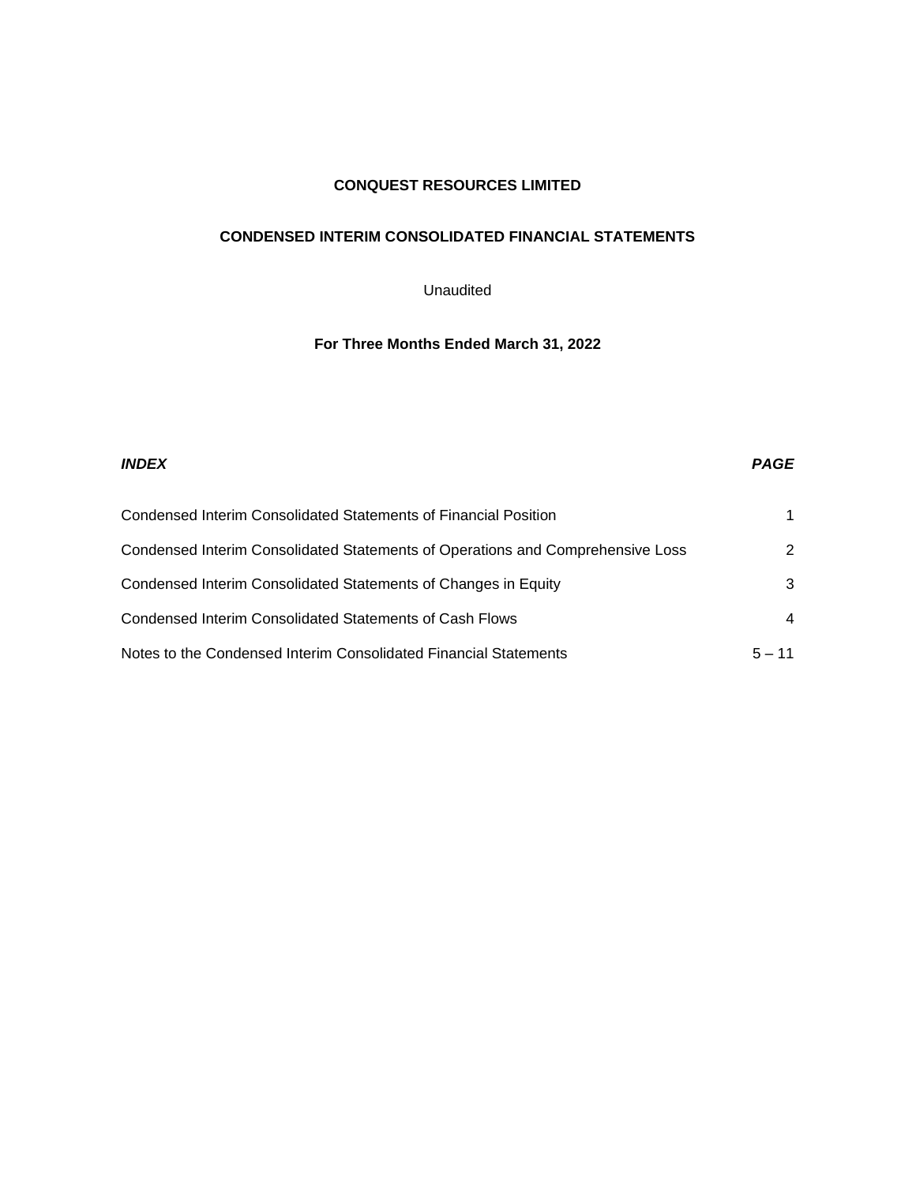# **CONQUEST RESOURCES LIMITED**

# **CONDENSED INTERIM CONSOLIDATED FINANCIAL STATEMENTS**

# Unaudited

# **For Three Months Ended March 31, 2022**

| <b>INDEX</b>                                                                   | <b>PAGE</b>    |
|--------------------------------------------------------------------------------|----------------|
| Condensed Interim Consolidated Statements of Financial Position                |                |
| Condensed Interim Consolidated Statements of Operations and Comprehensive Loss | 2              |
| Condensed Interim Consolidated Statements of Changes in Equity                 | 3              |
| Condensed Interim Consolidated Statements of Cash Flows                        | $\overline{a}$ |
| Notes to the Condensed Interim Consolidated Financial Statements               | $5 - 11$       |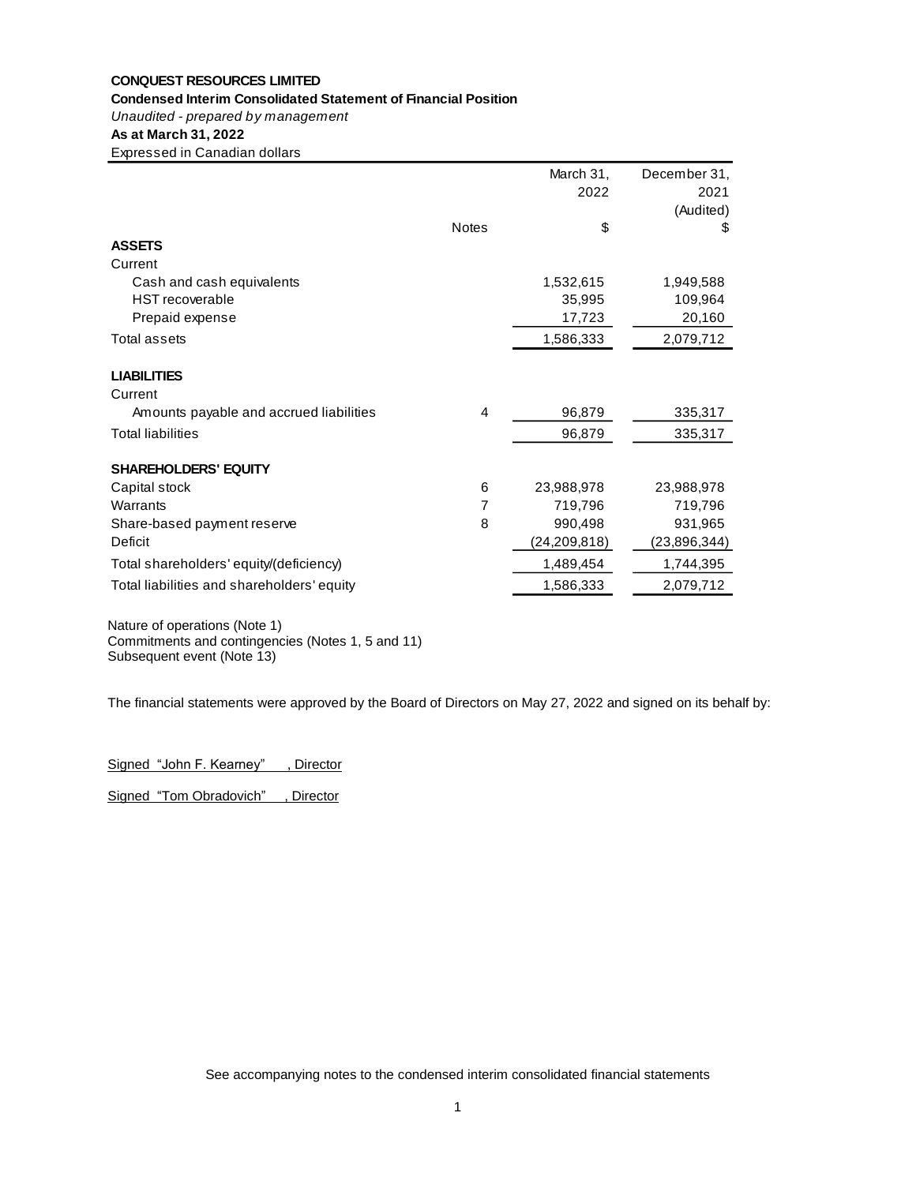## **CONQUEST RESOURCES LIMITED Condensed Interim Consolidated Statement of Financial Position**

*Unaudited - prepared by management*

# **As at March 31, 2022**

Expressed in Canadian dollars

|                                            |              | March 31,      | December 31,   |
|--------------------------------------------|--------------|----------------|----------------|
|                                            |              | 2022           | 2021           |
|                                            |              |                | (Audited)      |
|                                            | <b>Notes</b> | \$             | \$             |
| <b>ASSETS</b>                              |              |                |                |
| Current                                    |              |                |                |
| Cash and cash equivalents                  |              | 1,532,615      | 1,949,588      |
| <b>HST</b> recoverable                     |              | 35,995         | 109,964        |
| Prepaid expense                            |              | 17,723         | 20,160         |
| <b>Total assets</b>                        |              | 1,586,333      | 2,079,712      |
| <b>LIABILITIES</b>                         |              |                |                |
| Current                                    |              |                |                |
| Amounts payable and accrued liabilities    | 4            | 96,879         | 335,317        |
| <b>Total liabilities</b>                   |              | 96,879         | 335,317        |
| <b>SHAREHOLDERS' EQUITY</b>                |              |                |                |
| Capital stock                              | 6            | 23,988,978     | 23,988,978     |
| Warrants                                   | 7            | 719,796        | 719,796        |
| Share-based payment reserve                | 8            | 990,498        | 931,965        |
| Deficit                                    |              | (24, 209, 818) | (23, 896, 344) |
| Total shareholders' equity/(deficiency)    |              | 1,489,454      | 1,744,395      |
| Total liabilities and shareholders' equity |              | 1,586,333      | 2,079,712      |
|                                            |              |                |                |

Nature of operations (Note 1) Commitments and contingencies (Notes 1, 5 and 11) Subsequent event (Note 13)

The financial statements were approved by the Board of Directors on May 27, 2022 and signed on its behalf by:

Signed "John F. Kearney", Director

Signed "Tom Obradovich", Director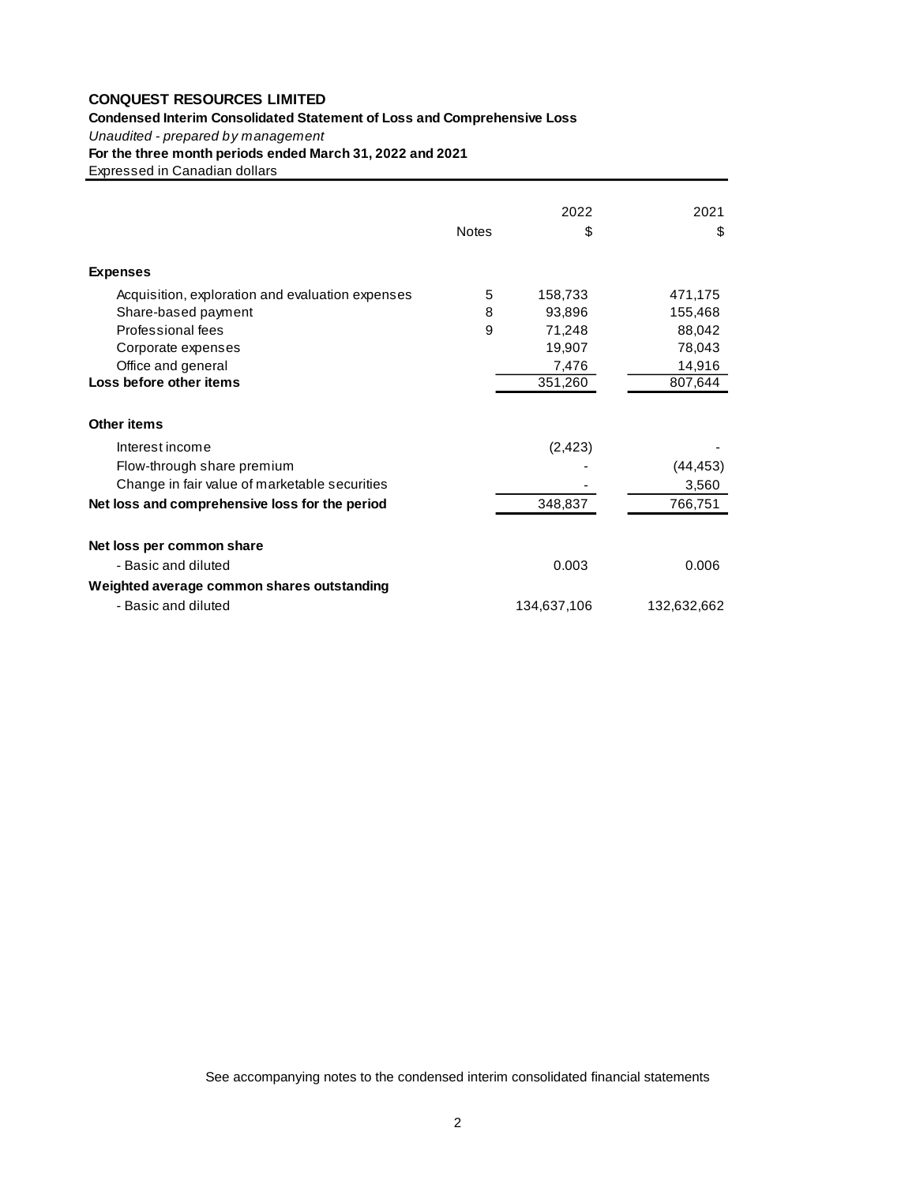# **Condensed Interim Consolidated Statement of Loss and Comprehensive Loss** *Unaudited - prepared by management*

| <b>CONQUEST RESOURCES LIMITED</b><br>Condensed Interim Consolidated Statement of Loss and Comprehensive Loss<br>Unaudited - prepared by management<br>For the three month periods ended March 31, 2022 and 2021 |       |             |             |
|-----------------------------------------------------------------------------------------------------------------------------------------------------------------------------------------------------------------|-------|-------------|-------------|
| Expressed in Canadian dollars                                                                                                                                                                                   |       |             |             |
|                                                                                                                                                                                                                 |       | 2022        | 2021        |
|                                                                                                                                                                                                                 | Notes | \$          | \$          |
| <b>Expenses</b>                                                                                                                                                                                                 |       |             |             |
| Acquisition, exploration and evaluation expenses                                                                                                                                                                | 5     | 158,733     | 471,175     |
| Share-based payment                                                                                                                                                                                             | 8     | 93,896      | 155,468     |
| Professional fees                                                                                                                                                                                               | 9     | 71,248      | 88,042      |
| Corporate expenses                                                                                                                                                                                              |       | 19,907      | 78,043      |
| Office and general                                                                                                                                                                                              |       | 7,476       | 14,916      |
| Loss before other items                                                                                                                                                                                         |       | 351,260     | 807,644     |
| <b>Other items</b>                                                                                                                                                                                              |       |             |             |
| Interest income                                                                                                                                                                                                 |       | (2, 423)    |             |
| Flow-through share premium                                                                                                                                                                                      |       |             | (44, 453)   |
| Change in fair value of marketable securities                                                                                                                                                                   |       |             | 3,560       |
| Net loss and comprehensive loss for the period                                                                                                                                                                  |       | 348,837     | 766,751     |
| Net loss per common share                                                                                                                                                                                       |       |             |             |
| - Basic and diluted                                                                                                                                                                                             |       | 0.003       | 0.006       |
| Weighted average common shares outstanding                                                                                                                                                                      |       |             |             |
| - Basic and diluted                                                                                                                                                                                             |       | 134,637,106 | 132,632,662 |
|                                                                                                                                                                                                                 |       |             |             |
| See accompanying notes to the condensed interim consolidated financial statements                                                                                                                               |       |             |             |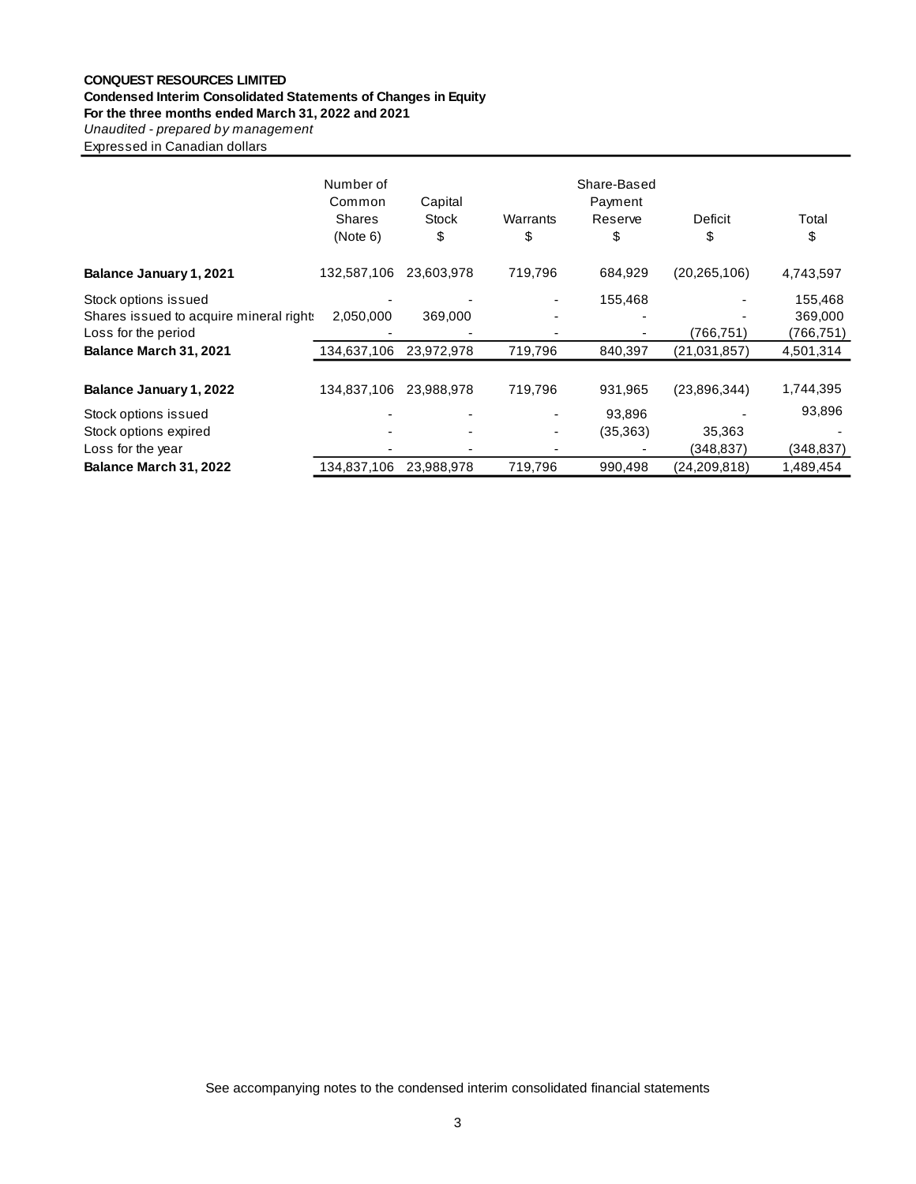#### **CONQUEST RESOURCES LIMITED**

## **Condensed Interim Consolidated Statements of Changes in Equity**

**For the three months ended March 31, 2022 and 2021**

**Unaudited - prepared by management** 

Expressed in Canadian dollars

|                                         | Number of<br>Common<br><b>Shares</b><br>(Note 6) | Capital<br><b>Stock</b><br>\$ | Warrants<br>\$ | Share-Based<br>Payment<br>Reserve<br>\$ | Deficit<br>S   | Total<br>\$ |
|-----------------------------------------|--------------------------------------------------|-------------------------------|----------------|-----------------------------------------|----------------|-------------|
| Balance January 1, 2021                 | 132,587,106                                      | 23,603,978                    | 719,796        | 684,929                                 | (20, 265, 106) | 4,743,597   |
| Stock options issued                    |                                                  |                               |                | 155,468                                 |                | 155,468     |
| Shares issued to acquire mineral rights | 2.050.000                                        | 369,000                       |                |                                         |                | 369,000     |
| Loss for the period                     |                                                  |                               |                |                                         | (766,751)      | (766,751)   |
| Balance March 31, 2021                  | 134,637,106                                      | 23,972,978                    | 719,796        | 840,397                                 | (21,031,857)   | 4,501,314   |
|                                         |                                                  |                               |                |                                         |                |             |
| Balance January 1, 2022                 | 134,837,106                                      | 23,988,978                    | 719,796        | 931,965                                 | (23,896,344)   | 1,744,395   |
| Stock options issued                    |                                                  |                               |                | 93,896                                  |                | 93,896      |
| Stock options expired                   |                                                  |                               |                | (35,363)                                | 35,363         |             |
| Loss for the year                       |                                                  |                               |                |                                         | (348, 837)     | (348, 837)  |
| Balance March 31, 2022                  | 134,837,106                                      | 23,988,978                    | 719,796        | 990,498                                 | (24, 209, 818) | 1,489,454   |

See accompanying notes to the condensed interim consolidated financial statements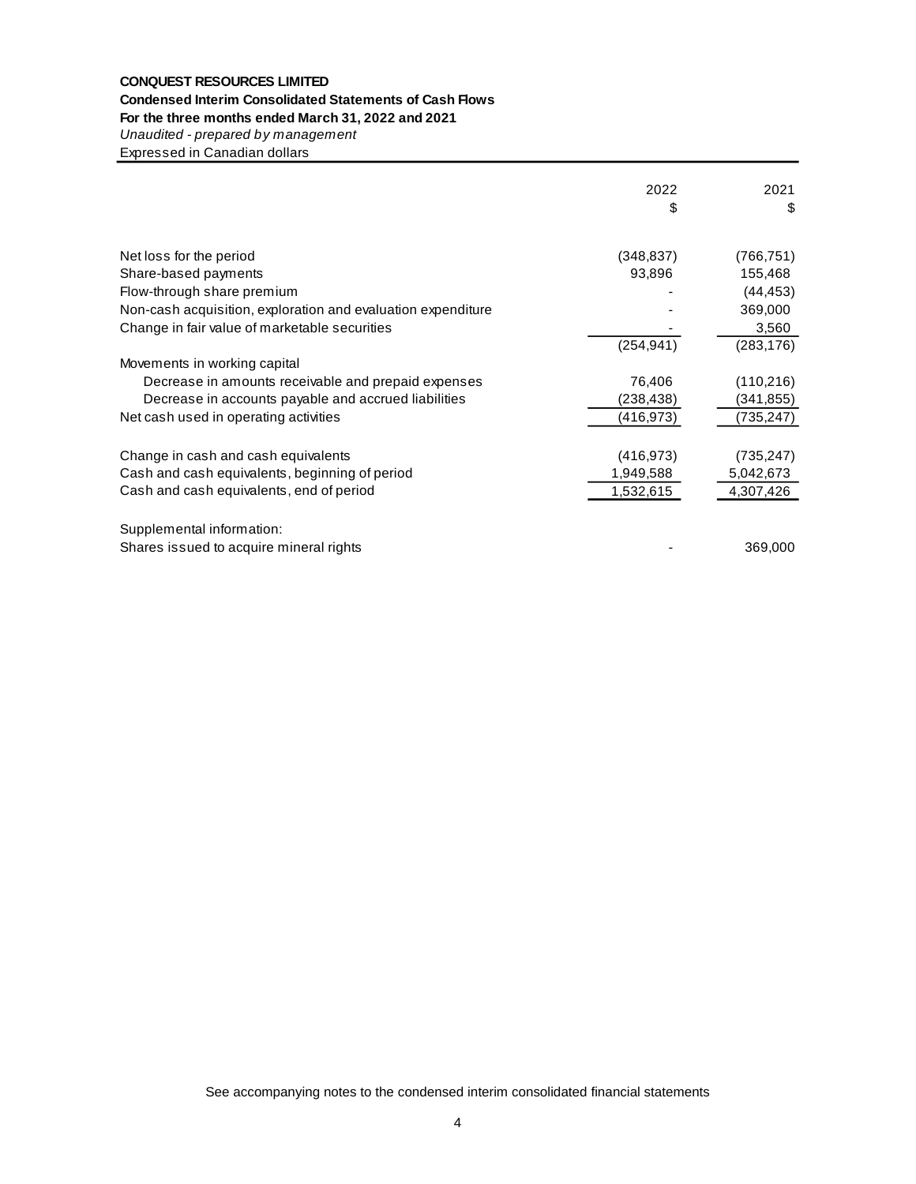## **CONQUEST RESOURCES LIMITED Condensed Interim Consolidated Statements of Cash Flows**

## **For the three months ended March 31, 2022 and 2021**

*Unaudited - prepared by management*

Expressed in Canadian dollars

|                                                              | 2022<br>\$ | 2021<br>\$ |
|--------------------------------------------------------------|------------|------------|
| Net loss for the period                                      | (348, 837) | (766, 751) |
| Share-based payments                                         | 93,896     | 155,468    |
| Flow-through share premium                                   |            | (44, 453)  |
| Non-cash acquisition, exploration and evaluation expenditure |            | 369,000    |
| Change in fair value of marketable securities                |            | 3,560      |
|                                                              | (254, 941) | (283, 176) |
| Movements in working capital                                 |            |            |
| Decrease in amounts receivable and prepaid expenses          | 76,406     | (110, 216) |
| Decrease in accounts payable and accrued liabilities         | (238,438)  | (341,855)  |
| Net cash used in operating activities                        | (416,973)  | (735, 247) |
| Change in cash and cash equivalents                          | (416, 973) | (735, 247) |
| Cash and cash equivalents, beginning of period               | 1,949,588  | 5,042,673  |
| Cash and cash equivalents, end of period                     | 1,532,615  | 4,307,426  |
| Supplemental information:                                    |            |            |
| Shares issued to acquire mineral rights                      |            | 369,000    |

See accompanying notes to the condensed interim consolidated financial statements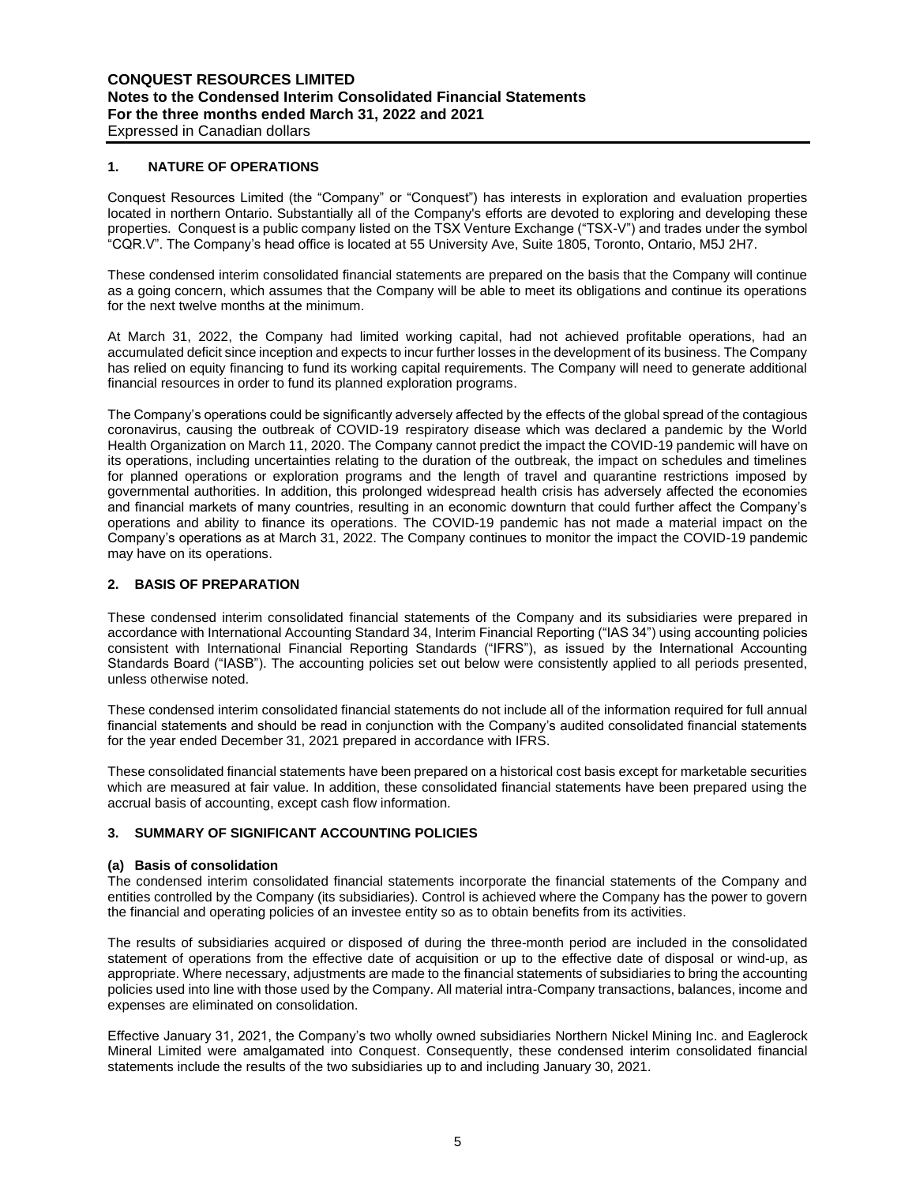## **1. NATURE OF OPERATIONS**

Conquest Resources Limited (the "Company" or "Conquest") has interests in exploration and evaluation properties located in northern Ontario. Substantially all of the Company's efforts are devoted to exploring and developing these properties. Conquest is a public company listed on the TSX Venture Exchange ("TSX-V") and trades under the symbol "CQR.V". The Company's head office is located at 55 University Ave, Suite 1805, Toronto, Ontario, M5J 2H7.

These condensed interim consolidated financial statements are prepared on the basis that the Company will continue as a going concern, which assumes that the Company will be able to meet its obligations and continue its operations for the next twelve months at the minimum.

At March 31, 2022, the Company had limited working capital, had not achieved profitable operations, had an accumulated deficit since inception and expects to incur further losses in the development of its business. The Company has relied on equity financing to fund its working capital requirements. The Company will need to generate additional financial resources in order to fund its planned exploration programs.

The Company's operations could be significantly adversely affected by the effects of the global spread of the contagious coronavirus, causing the outbreak of COVID-19 respiratory disease which was declared a pandemic by the World Health Organization on March 11, 2020. The Company cannot predict the impact the COVID-19 pandemic will have on its operations, including uncertainties relating to the duration of the outbreak, the impact on schedules and timelines for planned operations or exploration programs and the length of travel and quarantine restrictions imposed by governmental authorities. In addition, this prolonged widespread health crisis has adversely affected the economies and financial markets of many countries, resulting in an economic downturn that could further affect the Company's operations and ability to finance its operations. The COVID-19 pandemic has not made a material impact on the Company's operations as at March 31, 2022. The Company continues to monitor the impact the COVID-19 pandemic may have on its operations.

## **2. BASIS OF PREPARATION**

These condensed interim consolidated financial statements of the Company and its subsidiaries were prepared in accordance with International Accounting Standard 34, Interim Financial Reporting ("IAS 34") using accounting policies consistent with International Financial Reporting Standards ("IFRS"), as issued by the International Accounting Standards Board ("IASB"). The accounting policies set out below were consistently applied to all periods presented, unless otherwise noted.

These condensed interim consolidated financial statements do not include all of the information required for full annual financial statements and should be read in conjunction with the Company's audited consolidated financial statements for the year ended December 31, 2021 prepared in accordance with IFRS.

These consolidated financial statements have been prepared on a historical cost basis except for marketable securities which are measured at fair value. In addition, these consolidated financial statements have been prepared using the accrual basis of accounting, except cash flow information.

## **3. SUMMARY OF SIGNIFICANT ACCOUNTING POLICIES**

## **(a) Basis of consolidation**

The condensed interim consolidated financial statements incorporate the financial statements of the Company and entities controlled by the Company (its subsidiaries). Control is achieved where the Company has the power to govern the financial and operating policies of an investee entity so as to obtain benefits from its activities.

The results of subsidiaries acquired or disposed of during the three-month period are included in the consolidated statement of operations from the effective date of acquisition or up to the effective date of disposal or wind-up, as appropriate. Where necessary, adjustments are made to the financial statements of subsidiaries to bring the accounting policies used into line with those used by the Company. All material intra-Company transactions, balances, income and expenses are eliminated on consolidation.

Effective January 31, 2021, the Company's two wholly owned subsidiaries Northern Nickel Mining Inc. and Eaglerock Mineral Limited were amalgamated into Conquest. Consequently, these condensed interim consolidated financial statements include the results of the two subsidiaries up to and including January 30, 2021.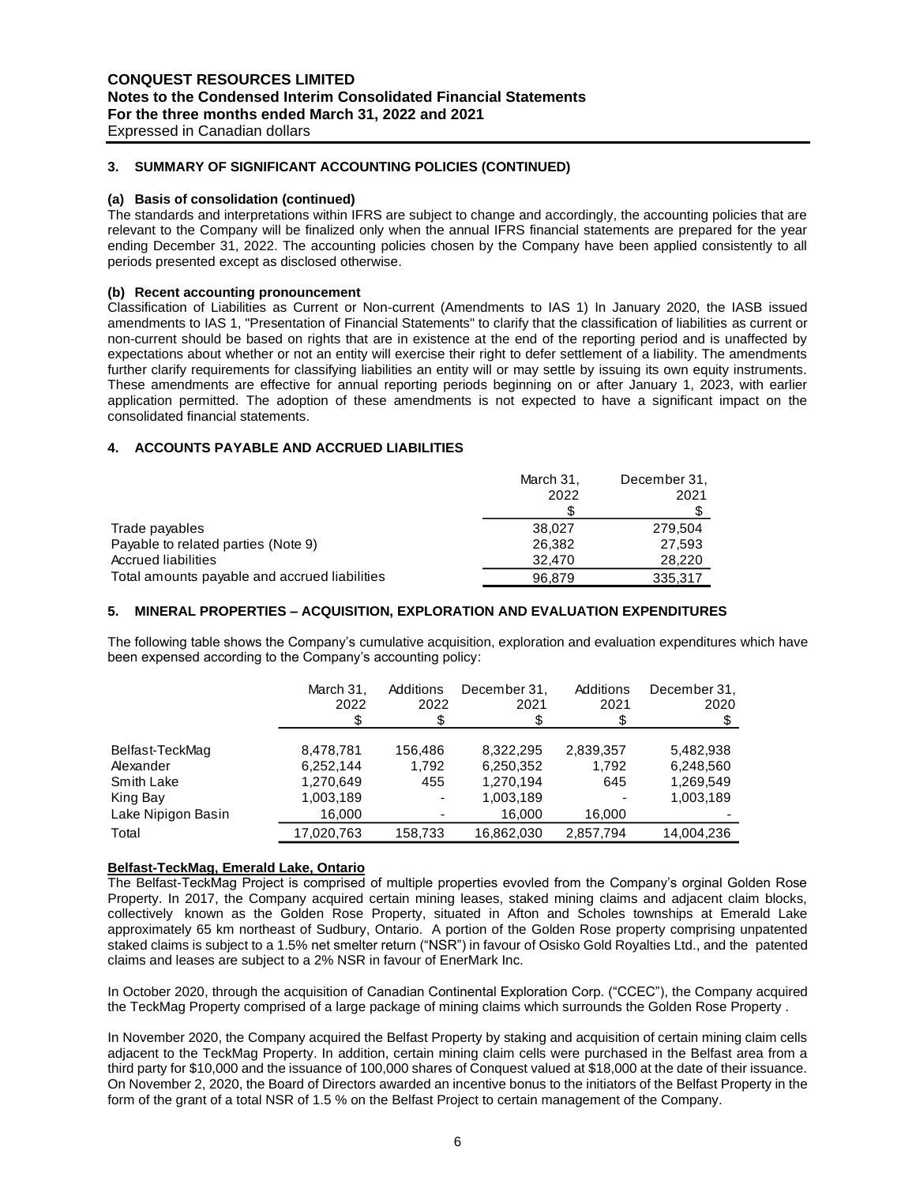**3. SUMMARY OF SIGNIFICANT ACCOUNTING POLICIES (CONTINUED)**

#### **(a) Basis of consolidation (continued)**

The standards and interpretations within IFRS are subject to change and accordingly, the accounting policies that are relevant to the Company will be finalized only when the annual IFRS financial statements are prepared for the year ending December 31, 2022. The accounting policies chosen by the Company have been applied consistently to all periods presented except as disclosed otherwise.

## **(b) Recent accounting pronouncement**

Classification of Liabilities as Current or Non-current (Amendments to IAS 1) In January 2020, the IASB issued amendments to IAS 1, "Presentation of Financial Statements" to clarify that the classification of liabilities as current or non-current should be based on rights that are in existence at the end of the reporting period and is unaffected by expectations about whether or not an entity will exercise their right to defer settlement of a liability. The amendments further clarify requirements for classifying liabilities an entity will or may settle by issuing its own equity instruments. These amendments are effective for annual reporting periods beginning on or after January 1, 2023, with earlier application permitted. The adoption of these amendments is not expected to have a significant impact on the consolidated financial statements.

## **4. ACCOUNTS PAYABLE AND ACCRUED LIABILITIES**

|                                               | March 31, | December 31, |
|-----------------------------------------------|-----------|--------------|
|                                               | 2022      | 2021         |
|                                               |           |              |
| Trade payables                                | 38,027    | 279.504      |
| Payable to related parties (Note 9)           | 26.382    | 27,593       |
| Accrued liabilities                           | 32,470    | 28,220       |
| Total amounts payable and accrued liabilities | 96.879    | 335,317      |

## **5. MINERAL PROPERTIES – ACQUISITION, EXPLORATION AND EVALUATION EXPENDITURES**

The following table shows the Company's cumulative acquisition, exploration and evaluation expenditures which have been expensed according to the Company's accounting policy:

|                    | March 31,<br>2022 | Additions<br>2022 | December 31.<br>2021 | Additions<br>2021 | December 31,<br>2020 |
|--------------------|-------------------|-------------------|----------------------|-------------------|----------------------|
|                    |                   |                   |                      |                   |                      |
| Belfast-TeckMag    | 8,478,781         | 156.486           | 8.322.295            | 2,839,357         | 5,482,938            |
| Alexander          | 6,252,144         | 1.792             | 6,250,352            | 1.792             | 6,248,560            |
| Smith Lake         | 1,270,649         | 455               | 1,270,194            | 645               | 1,269,549            |
| King Bay           | 1,003,189         | ٠                 | 1,003,189            |                   | 1,003,189            |
| Lake Nipigon Basin | 16,000            |                   | 16.000               | 16,000            |                      |
| Total              | 17.020.763        | 158,733           | 16,862,030           | 2,857,794         | 14.004.236           |

## **Belfast-TeckMag, Emerald Lake, Ontario**

The Belfast-TeckMag Project is comprised of multiple properties evovled from the Company's orginal Golden Rose Property. In 2017, the Company acquired certain mining leases, staked mining claims and adjacent claim blocks, collectively known as the Golden Rose Property, situated in Afton and Scholes townships at Emerald Lake approximately 65 km northeast of Sudbury, Ontario. A portion of the Golden Rose property comprising unpatented staked claims is subject to a 1.5% net smelter return ("NSR") in favour of Osisko Gold Royalties Ltd., and the patented claims and leases are subject to a 2% NSR in favour of EnerMark Inc.

In October 2020, through the acquisition of Canadian Continental Exploration Corp. ("CCEC"), the Company acquired the TeckMag Property comprised of a large package of mining claims which surrounds the Golden Rose Property .

In November 2020, the Company acquired the Belfast Property by staking and acquisition of certain mining claim cells adjacent to the TeckMag Property. In addition, certain mining claim cells were purchased in the Belfast area from a third party for \$10,000 and the issuance of 100,000 shares of Conquest valued at \$18,000 at the date of their issuance. On November 2, 2020, the Board of Directors awarded an incentive bonus to the initiators of the Belfast Property in the form of the grant of a total NSR of 1.5 % on the Belfast Project to certain management of the Company.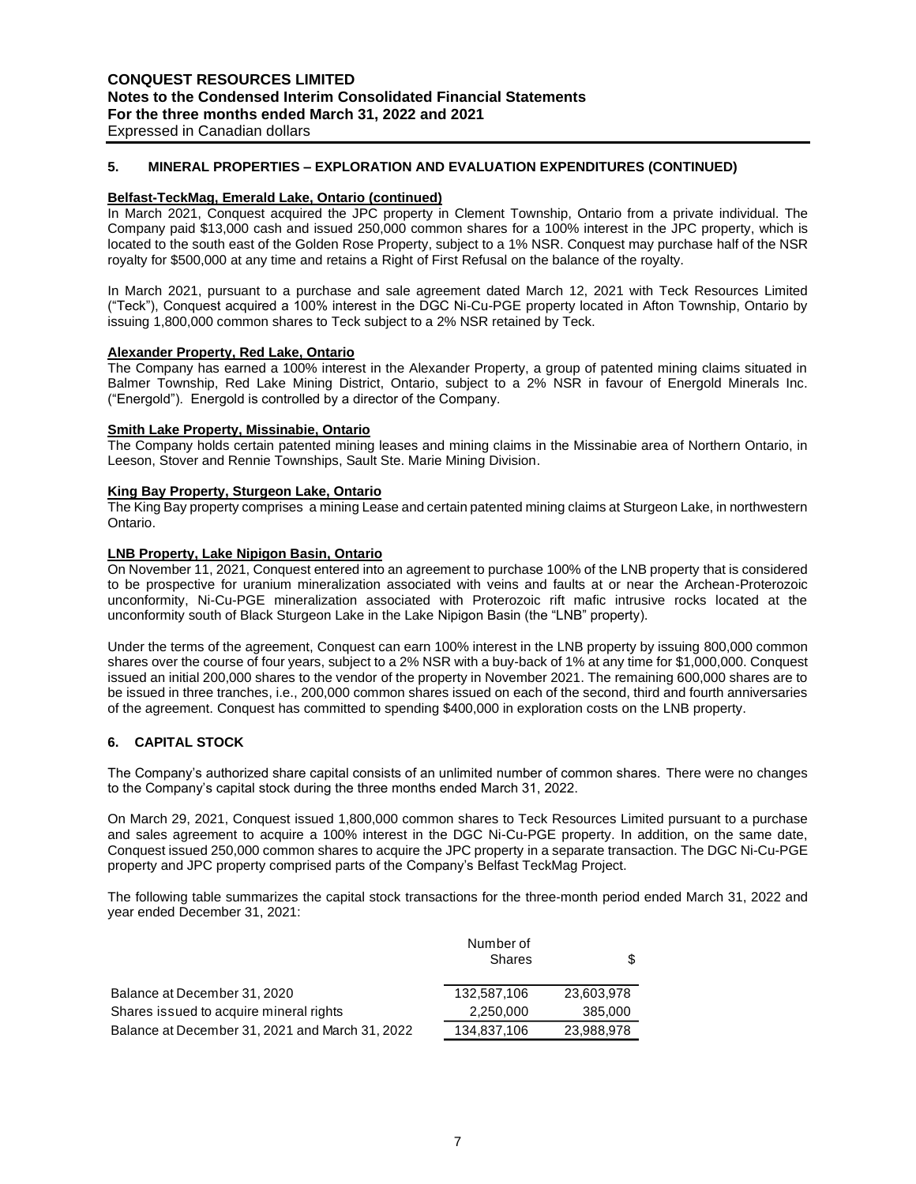## **5. MINERAL PROPERTIES – EXPLORATION AND EVALUATION EXPENDITURES (CONTINUED)**

#### **Belfast-TeckMag, Emerald Lake, Ontario (continued)**

In March 2021, Conquest acquired the JPC property in Clement Township, Ontario from a private individual. The Company paid \$13,000 cash and issued 250,000 common shares for a 100% interest in the JPC property, which is located to the south east of the Golden Rose Property, subject to a 1% NSR. Conquest may purchase half of the NSR royalty for \$500,000 at any time and retains a Right of First Refusal on the balance of the royalty.

In March 2021, pursuant to a purchase and sale agreement dated March 12, 2021 with Teck Resources Limited ("Teck"), Conquest acquired a 100% interest in the DGC Ni-Cu-PGE property located in Afton Township, Ontario by issuing 1,800,000 common shares to Teck subject to a 2% NSR retained by Teck.

#### **Alexander Property, Red Lake, Ontario**

The Company has earned a 100% interest in the Alexander Property, a group of patented mining claims situated in Balmer Township, Red Lake Mining District, Ontario, subject to a 2% NSR in favour of Energold Minerals Inc. ("Energold"). Energold is controlled by a director of the Company.

#### **Smith Lake Property, Missinabie, Ontario**

The Company holds certain patented mining leases and mining claims in the Missinabie area of Northern Ontario, in Leeson, Stover and Rennie Townships, Sault Ste. Marie Mining Division.

#### **King Bay Property, Sturgeon Lake, Ontario**

The King Bay property comprises a mining Lease and certain patented mining claims at Sturgeon Lake, in northwestern Ontario.

#### **LNB Property, Lake Nipigon Basin, Ontario**

On November 11, 2021, Conquest entered into an agreement to purchase 100% of the LNB property that is considered to be prospective for uranium mineralization associated with veins and faults at or near the Archean-Proterozoic unconformity, Ni-Cu-PGE mineralization associated with Proterozoic rift mafic intrusive rocks located at the unconformity south of Black Sturgeon Lake in the Lake Nipigon Basin (the "LNB" property).

Under the terms of the agreement, Conquest can earn 100% interest in the LNB property by issuing 800,000 common shares over the course of four years, subject to a 2% NSR with a buy-back of 1% at any time for \$1,000,000. Conquest issued an initial 200,000 shares to the vendor of the property in November 2021. The remaining 600,000 shares are to be issued in three tranches, i.e., 200,000 common shares issued on each of the second, third and fourth anniversaries of the agreement. Conquest has committed to spending \$400,000 in exploration costs on the LNB property.

## **6. CAPITAL STOCK**

The Company's authorized share capital consists of an unlimited number of common shares. There were no changes to the Company's capital stock during the three months ended March 31, 2022.

On March 29, 2021, Conquest issued 1,800,000 common shares to Teck Resources Limited pursuant to a purchase and sales agreement to acquire a 100% interest in the DGC Ni-Cu-PGE property. In addition, on the same date, Conquest issued 250,000 common shares to acquire the JPC property in a separate transaction. The DGC Ni-Cu-PGE property and JPC property comprised parts of the Company's Belfast TeckMag Project.

The following table summarizes the capital stock transactions for the three-month period ended March 31, 2022 and year ended December 31, 2021:

|                                                 | Number of<br><b>Shares</b> | \$         |
|-------------------------------------------------|----------------------------|------------|
| Balance at December 31, 2020                    | 132,587,106                | 23,603,978 |
| Shares issued to acquire mineral rights         | 2,250,000                  | 385,000    |
| Balance at December 31, 2021 and March 31, 2022 | 134,837,106                | 23,988,978 |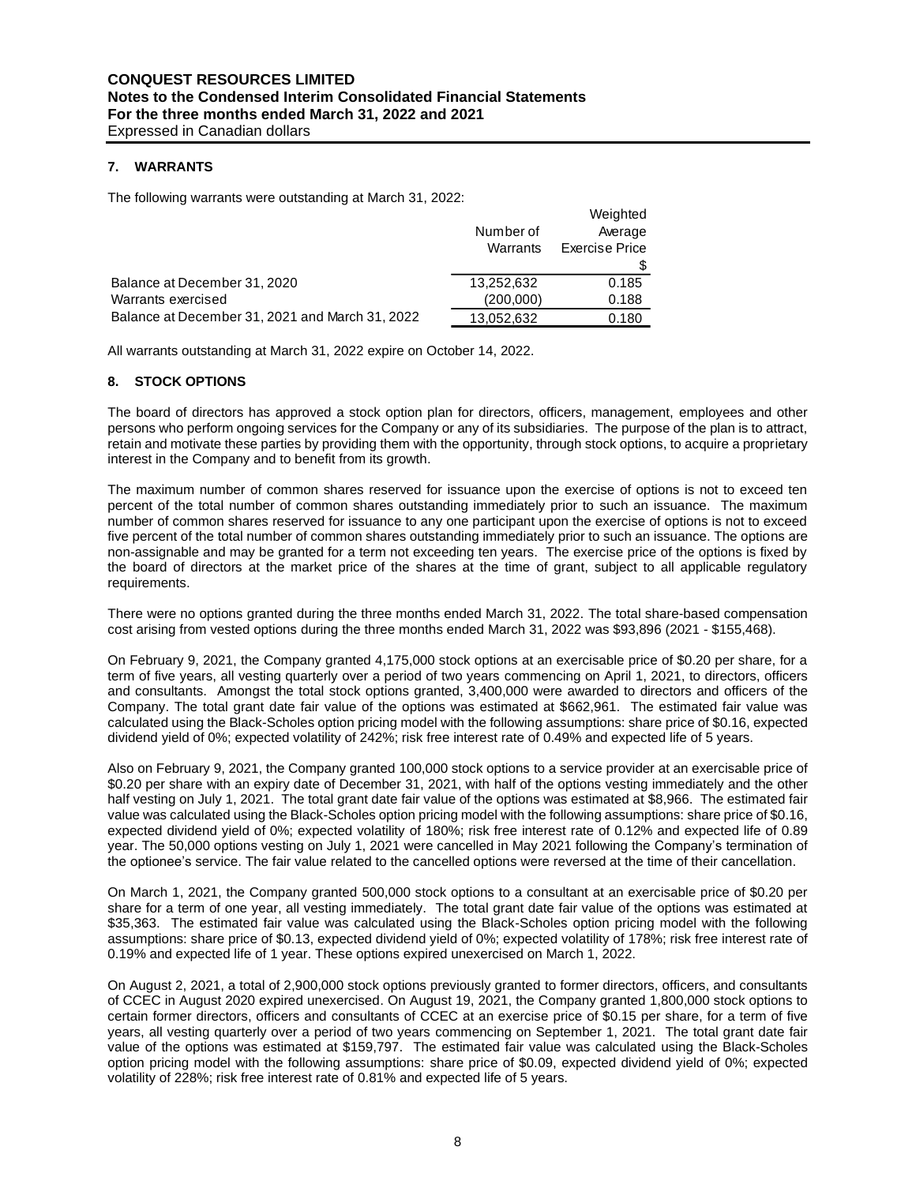## **7. WARRANTS**

The following warrants were outstanding at March 31, 2022:

|                                                                                                                                                                                                                                                                                                                                                                                                                                                                                                                                                                                                                                                                                           | Number of<br>Warrants   | Weighted<br>Average<br><b>Exercise Price</b><br>\$ |
|-------------------------------------------------------------------------------------------------------------------------------------------------------------------------------------------------------------------------------------------------------------------------------------------------------------------------------------------------------------------------------------------------------------------------------------------------------------------------------------------------------------------------------------------------------------------------------------------------------------------------------------------------------------------------------------------|-------------------------|----------------------------------------------------|
| Balance at December 31, 2020<br>Warrants exercised                                                                                                                                                                                                                                                                                                                                                                                                                                                                                                                                                                                                                                        | 13,252,632<br>(200,000) | 0.185<br>0.188                                     |
| Balance at December 31, 2021 and March 31, 2022                                                                                                                                                                                                                                                                                                                                                                                                                                                                                                                                                                                                                                           | 13,052,632              | 0.180                                              |
| All warrants outstanding at March 31, 2022 expire on October 14, 2022.                                                                                                                                                                                                                                                                                                                                                                                                                                                                                                                                                                                                                    |                         |                                                    |
| 8.<br><b>STOCK OPTIONS</b>                                                                                                                                                                                                                                                                                                                                                                                                                                                                                                                                                                                                                                                                |                         |                                                    |
| The board of directors has approved a stock option plan for directors, officers, managem<br>persons who perform ongoing services for the Company or any of its subsidiaries. The purpo<br>retain and motivate these parties by providing them with the opportunity, through stock optior<br>interest in the Company and to benefit from its growth.                                                                                                                                                                                                                                                                                                                                       |                         |                                                    |
| The maximum number of common shares reserved for issuance upon the exercise of op<br>percent of the total number of common shares outstanding immediately prior to such an<br>number of common shares reserved for issuance to any one participant upon the exercise o<br>five percent of the total number of common shares outstanding immediately prior to such an<br>non-assignable and may be granted for a term not exceeding ten years. The exercise price<br>the board of directors at the market price of the shares at the time of grant, subject to<br>requirements.                                                                                                            |                         |                                                    |
| There were no options granted during the three months ended March 31, 2022. The total s<br>cost arising from vested options during the three months ended March 31, 2022 was \$93,89                                                                                                                                                                                                                                                                                                                                                                                                                                                                                                      |                         |                                                    |
| On February 9, 2021, the Company granted 4,175,000 stock options at an exercisable pric<br>term of five years, all vesting quarterly over a period of two years commencing on April 1,<br>and consultants. Amongst the total stock options granted, 3,400,000 were awarded to di<br>Company. The total grant date fair value of the options was estimated at \$662,961. The<br>calculated using the Black-Scholes option pricing model with the following assumptions: sha<br>dividend yield of 0%; expected volatility of 242%; risk free interest rate of 0.49% and expect                                                                                                              |                         |                                                    |
| Also on February 9, 2021, the Company granted 100,000 stock options to a service provide<br>\$0.20 per share with an expiry date of December 31, 2021, with half of the options vesting<br>half vesting on July 1, 2021. The total grant date fair value of the options was estimated at \$<br>value was calculated using the Black-Scholes option pricing model with the following assump<br>expected dividend yield of 0%; expected volatility of 180%; risk free interest rate of 0.12%<br>year. The 50,000 options vesting on July 1, 2021 were cancelled in May 2021 following the<br>the optionee's service. The fair value related to the cancelled options were reversed at the t |                         |                                                    |
| On March 1, 2021, the Company granted 500,000 stock options to a consultant at an exer<br>share for a term of one year, all vesting immediately. The total grant date fair value of the<br>\$35,363. The estimated fair value was calculated using the Black-Scholes option pricing<br>assumptions: share price of \$0.13, expected dividend yield of 0%; expected volatility of 178<br>0.19% and expected life of 1 year. These options expired unexercised on March 1, 2022.                                                                                                                                                                                                            |                         |                                                    |
| On August 2, 2021, a total of 2,900,000 stock options previously granted to former directors<br>of CCEC in August 2020 expired unexercised. On August 19, 2021, the Company granted<br>certain former directors, officers and consultants of CCEC at an exercise price of \$0.15 pe<br>years, all vesting quarterly over a period of two years commencing on September 1, 2021<br>value of the options was estimated at \$159,797. The estimated fair value was calculated<br>option pricing model with the following assumptions: share price of \$0.09, expected divide<br>volatility of 228%; risk free interest rate of 0.81% and expected life of 5 years.                           |                         |                                                    |

## **8. STOCK OPTIONS**

The board of directors has approved a stock option plan for directors, officers, management, employees and other persons who perform ongoing services for the Company or any of its subsidiaries. The purpose of the plan is to attract, retain and motivate these parties by providing them with the opportunity, through stock options, to acquire a proprietary interest in the Company and to benefit from its growth.

The maximum number of common shares reserved for issuance upon the exercise of options is not to exceed ten percent of the total number of common shares outstanding immediately prior to such an issuance. The maximum number of common shares reserved for issuance to any one participant upon the exercise of options is not to exceed five percent of the total number of common shares outstanding immediately prior to such an issuance. The options are non-assignable and may be granted for a term not exceeding ten years. The exercise price of the options is fixed by the board of directors at the market price of the shares at the time of grant, subject to all applicable regulatory requirements.

There were no options granted during the three months ended March 31, 2022. The total share-based compensation cost arising from vested options during the three months ended March 31, 2022 was \$93,896 (2021 - \$155,468).

On February 9, 2021, the Company granted 4,175,000 stock options at an exercisable price of \$0.20 per share, for a term of five years, all vesting quarterly over a period of two years commencing on April 1, 2021, to directors, officers and consultants. Amongst the total stock options granted, 3,400,000 were awarded to directors and officers of the Company. The total grant date fair value of the options was estimated at \$662,961. The estimated fair value was calculated using the Black-Scholes option pricing model with the following assumptions: share price of \$0.16, expected dividend yield of 0%; expected volatility of 242%; risk free interest rate of 0.49% and expected life of 5 years.

Also on February 9, 2021, the Company granted 100,000 stock options to a service provider at an exercisable price of \$0.20 per share with an expiry date of December 31, 2021, with half of the options vesting immediately and the other half vesting on July 1, 2021. The total grant date fair value of the options was estimated at \$8,966. The estimated fair value was calculated using the Black-Scholes option pricing model with the following assumptions: share price of \$0.16, expected dividend yield of 0%; expected volatility of 180%; risk free interest rate of 0.12% and expected life of 0.89 year. The 50,000 options vesting on July 1, 2021 were cancelled in May 2021 following the Company's termination of the optionee's service. The fair value related to the cancelled options were reversed at the time of their cancellation.

On March 1, 2021, the Company granted 500,000 stock options to a consultant at an exercisable price of \$0.20 per share for a term of one year, all vesting immediately. The total grant date fair value of the options was estimated at \$35,363. The estimated fair value was calculated using the Black-Scholes option pricing model with the following assumptions: share price of \$0.13, expected dividend yield of 0%; expected volatility of 178%; risk free interest rate of 0.19% and expected life of 1 year. These options expired unexercised on March 1, 2022.

On August 2, 2021, a total of 2,900,000 stock options previously granted to former directors, officers, and consultants of CCEC in August 2020 expired unexercised. On August 19, 2021, the Company granted 1,800,000 stock options to certain former directors, officers and consultants of CCEC at an exercise price of \$0.15 per share, for a term of five years, all vesting quarterly over a period of two years commencing on September 1, 2021. The total grant date fair value of the options was estimated at \$159,797. The estimated fair value was calculated using the Black-Scholes option pricing model with the following assumptions: share price of \$0.09, expected dividend yield of 0%; expected volatility of 228%; risk free interest rate of 0.81% and expected life of 5 years.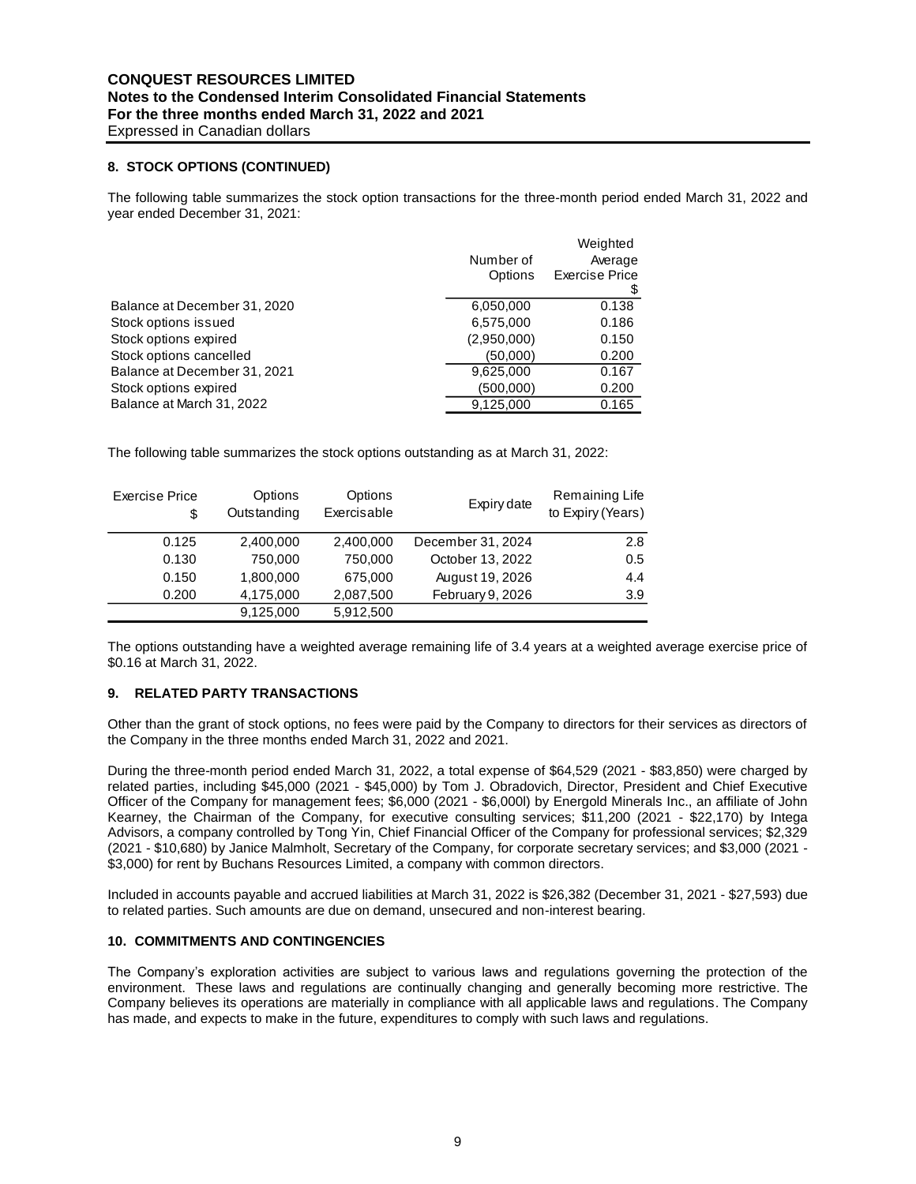Expressed in Canadian dollars

## **8. STOCK OPTIONS (CONTINUED)**

The following table summarizes the stock option transactions for the three-month period ended March 31, 2022 and year ended December 31, 2021:

|                              |             | Weighted       |
|------------------------------|-------------|----------------|
|                              | Number of   | Average        |
|                              | Options     | Exercise Price |
|                              |             |                |
| Balance at December 31, 2020 | 6,050,000   | 0.138          |
| Stock options issued         | 6,575,000   | 0.186          |
| Stock options expired        | (2,950,000) | 0.150          |
| Stock options cancelled      | (50,000)    | 0.200          |
| Balance at December 31, 2021 | 9,625,000   | 0.167          |
| Stock options expired        | (500,000)   | 0.200          |
| Balance at March 31, 2022    | 9,125,000   | 0.165          |
|                              |             |                |

The following table summarizes the stock options outstanding as at March 31, 2022:

| <b>Exercise Price</b><br>\$ | Options<br>Outstanding | Options<br>Exercisable | Expiry date       | Remaining Life<br>to Expiry (Years) |
|-----------------------------|------------------------|------------------------|-------------------|-------------------------------------|
| 0.125                       | 2,400,000              | 2,400,000              | December 31, 2024 | 2.8                                 |
| 0.130                       | 750,000                | 750,000                | October 13, 2022  | 0.5                                 |
| 0.150                       | 1,800,000              | 675,000                | August 19, 2026   | 4.4                                 |
| 0.200                       | 4,175,000              | 2,087,500              | February 9, 2026  | 3.9                                 |
|                             | 9,125,000              | 5,912,500              |                   |                                     |

The options outstanding have a weighted average remaining life of 3.4 years at a weighted average exercise price of \$0.16 at March 31, 2022.

## **9. RELATED PARTY TRANSACTIONS**

Other than the grant of stock options, no fees were paid by the Company to directors for their services as directors of the Company in the three months ended March 31, 2022 and 2021.

During the three-month period ended March 31, 2022, a total expense of \$64,529 (2021 - \$83,850) were charged by related parties, including \$45,000 (2021 - \$45,000) by Tom J. Obradovich, Director, President and Chief Executive Officer of the Company for management fees; \$6,000 (2021 - \$6,000l) by Energold Minerals Inc., an affiliate of John Kearney, the Chairman of the Company, for executive consulting services; \$11,200 (2021 - \$22,170) by Intega Advisors, a company controlled by Tong Yin, Chief Financial Officer of the Company for professional services; \$2,329 (2021 - \$10,680) by Janice Malmholt, Secretary of the Company, for corporate secretary services; and \$3,000 (2021 - \$3,000) for rent by Buchans Resources Limited, a company with common directors.

Included in accounts payable and accrued liabilities at March 31, 2022 is \$26,382 (December 31, 2021 - \$27,593) due to related parties. Such amounts are due on demand, unsecured and non-interest bearing.

#### **10. COMMITMENTS AND CONTINGENCIES**

The Company's exploration activities are subject to various laws and regulations governing the protection of the environment. These laws and regulations are continually changing and generally becoming more restrictive. The Company believes its operations are materially in compliance with all applicable laws and regulations. The Company has made, and expects to make in the future, expenditures to comply with such laws and regulations.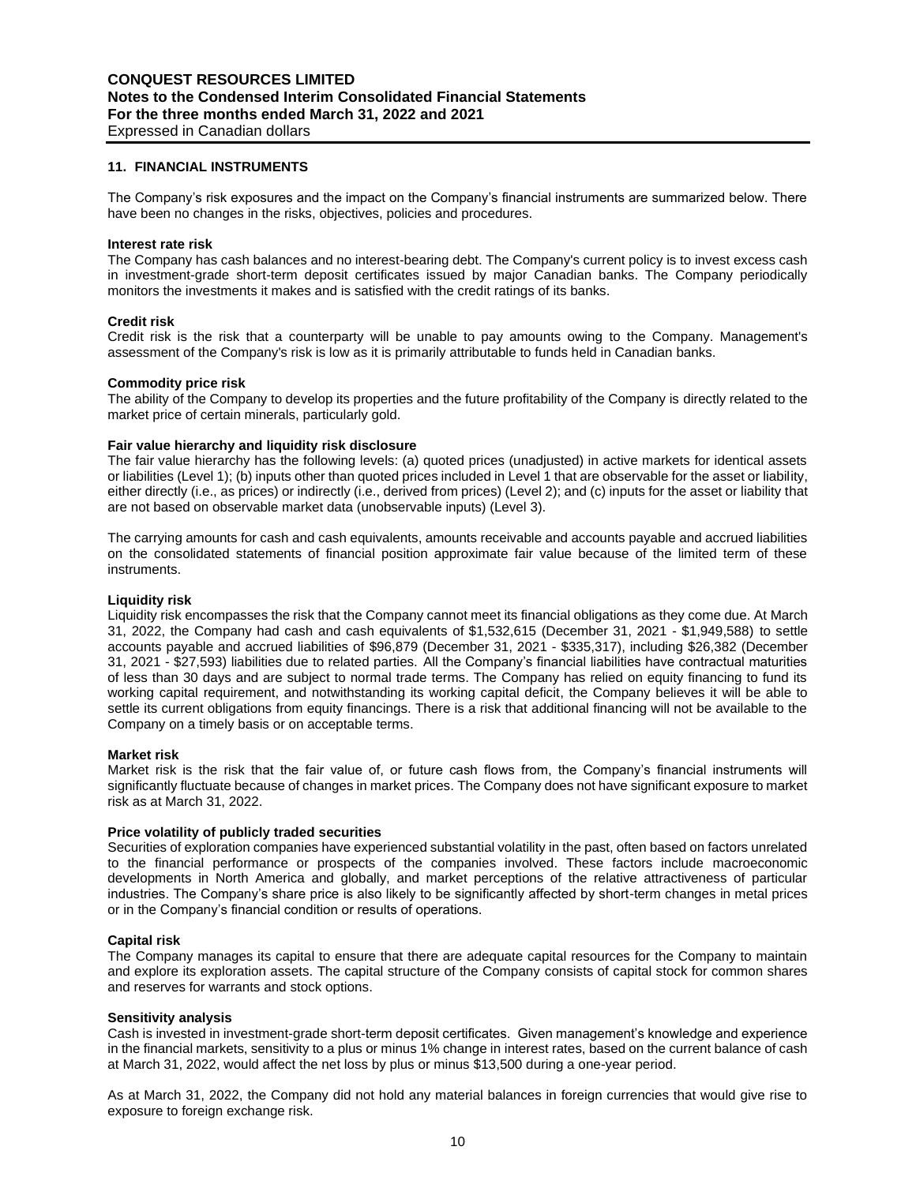#### **11. FINANCIAL INSTRUMENTS**

The Company's risk exposures and the impact on the Company's financial instruments are summarized below. There have been no changes in the risks, objectives, policies and procedures.

#### **Interest rate risk**

The Company has cash balances and no interest-bearing debt. The Company's current policy is to invest excess cash in investment-grade short-term deposit certificates issued by major Canadian banks. The Company periodically monitors the investments it makes and is satisfied with the credit ratings of its banks.

#### **Credit risk**

Credit risk is the risk that a counterparty will be unable to pay amounts owing to the Company. Management's assessment of the Company's risk is low as it is primarily attributable to funds held in Canadian banks.

#### **Commodity price risk**

The ability of the Company to develop its properties and the future profitability of the Company is directly related to the market price of certain minerals, particularly gold.

#### **Fair value hierarchy and liquidity risk disclosure**

The fair value hierarchy has the following levels: (a) quoted prices (unadjusted) in active markets for identical assets or liabilities (Level 1); (b) inputs other than quoted prices included in Level 1 that are observable for the asset or liability, either directly (i.e., as prices) or indirectly (i.e., derived from prices) (Level 2); and (c) inputs for the asset or liability that are not based on observable market data (unobservable inputs) (Level 3).

The carrying amounts for cash and cash equivalents, amounts receivable and accounts payable and accrued liabilities on the consolidated statements of financial position approximate fair value because of the limited term of these instruments.

#### **Liquidity risk**

Liquidity risk encompasses the risk that the Company cannot meet its financial obligations as they come due. At March 31, 2022, the Company had cash and cash equivalents of \$1,532,615 (December 31, 2021 - \$1,949,588) to settle accounts payable and accrued liabilities of \$96,879 (December 31, 2021 - \$335,317), including \$26,382 (December 31, 2021 - \$27,593) liabilities due to related parties. All the Company's financial liabilities have contractual maturities of less than 30 days and are subject to normal trade terms. The Company has relied on equity financing to fund its working capital requirement, and notwithstanding its working capital deficit, the Company believes it will be able to settle its current obligations from equity financings. There is a risk that additional financing will not be available to the Company on a timely basis or on acceptable terms.

#### **Market risk**

Market risk is the risk that the fair value of, or future cash flows from, the Company's financial instruments will significantly fluctuate because of changes in market prices. The Company does not have significant exposure to market risk as at March 31, 2022.

#### **Price volatility of publicly traded securities**

Securities of exploration companies have experienced substantial volatility in the past, often based on factors unrelated to the financial performance or prospects of the companies involved. These factors include macroeconomic developments in North America and globally, and market perceptions of the relative attractiveness of particular industries. The Company's share price is also likely to be significantly affected by short-term changes in metal prices or in the Company's financial condition or results of operations.

#### **Capital risk**

The Company manages its capital to ensure that there are adequate capital resources for the Company to maintain and explore its exploration assets. The capital structure of the Company consists of capital stock for common shares and reserves for warrants and stock options.

#### **Sensitivity analysis**

Cash is invested in investment-grade short-term deposit certificates. Given management's knowledge and experience in the financial markets, sensitivity to a plus or minus 1% change in interest rates, based on the current balance of cash at March 31, 2022, would affect the net loss by plus or minus \$13,500 during a one-year period.

As at March 31, 2022, the Company did not hold any material balances in foreign currencies that would give rise to exposure to foreign exchange risk.